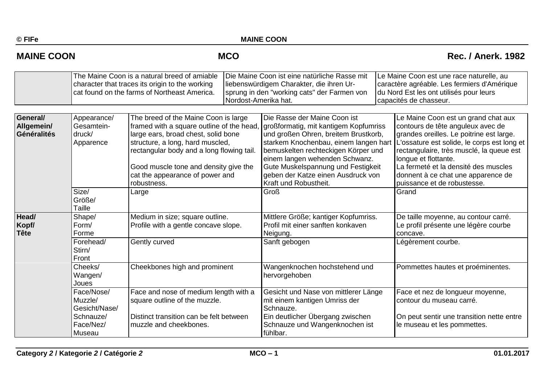# **MAINE COON COON CONCOUNTING MCO** Rec. / Anerk. 1982

|                                              | The Maine Coon is a natural breed of amiable<br>character that traces its origin to the working<br>cat found on the farms of Northeast America. |                                                                                                                                                                                                                                                                                                     | Die Maine Coon ist eine natürliche Rasse mit<br>liebenswürdigem Charakter, die ihren Ur-<br>sprung in den "working cats" der Farmen von<br>Nordost-Amerika hat. |                                                                                                                                                                                                                                                                                                                                      | Le Maine Coon est une race naturelle, au<br>caractère agréable. Les fermiers d'Amérique<br>du Nord Est les ont utilisés pour leurs<br>capacités de chasseur. |                                                                                                                                                                                                                                                                                                                                                      |  |
|----------------------------------------------|-------------------------------------------------------------------------------------------------------------------------------------------------|-----------------------------------------------------------------------------------------------------------------------------------------------------------------------------------------------------------------------------------------------------------------------------------------------------|-----------------------------------------------------------------------------------------------------------------------------------------------------------------|--------------------------------------------------------------------------------------------------------------------------------------------------------------------------------------------------------------------------------------------------------------------------------------------------------------------------------------|--------------------------------------------------------------------------------------------------------------------------------------------------------------|------------------------------------------------------------------------------------------------------------------------------------------------------------------------------------------------------------------------------------------------------------------------------------------------------------------------------------------------------|--|
| General/<br>Allgemein/<br><b>Généralités</b> | Appearance/<br>Gesamtein-<br>druck/<br>Apparence                                                                                                | The breed of the Maine Coon is large<br>framed with a square outline of the head<br>large ears, broad chest, solid bone<br>structure, a long, hard muscled,<br>rectangular body and a long flowing tail.<br>Good muscle tone and density give the<br>cat the appearance of power and<br>robustness. |                                                                                                                                                                 | Die Rasse der Maine Coon ist<br>großformatig, mit kantigem Kopfumriss<br>und großen Ohren, breitem Brustkorb,<br>starkem Knochenbau, einem langen hart<br>bemuskelten rechteckigen Körper und<br>einem langen wehenden Schwanz.<br>Gute Muskelspannung und Festigkeit<br>geben der Katze einen Ausdruck von<br>Kraft und Robustheit. |                                                                                                                                                              | Le Maine Coon est un grand chat aux<br>contours de tête anguleux avec de<br>grandes oreilles. Le poitrine est large.<br>L'ossature est solide, le corps est long et<br>rectangulaire, très musclé, la queue est<br>longue et flottante.<br>La fermeté et la densité des muscles<br>donnent à ce chat une apparence de<br>puissance et de robustesse. |  |
|                                              | Size/<br>Größe/<br>Taille                                                                                                                       | Large                                                                                                                                                                                                                                                                                               |                                                                                                                                                                 | <b>Groß</b>                                                                                                                                                                                                                                                                                                                          |                                                                                                                                                              | Grand                                                                                                                                                                                                                                                                                                                                                |  |
| Head/<br>Kopf/<br>Tête                       | Shape/<br>Form/<br>Forme                                                                                                                        | Medium in size; square outline.<br>Profile with a gentle concave slope.<br>Gently curved<br>Cheekbones high and prominent<br>Face and nose of medium length with a<br>square outline of the muzzle.<br>Distinct transition can be felt between<br>muzzle and cheekbones.                            |                                                                                                                                                                 | Mittlere Größe; kantiger Kopfumriss.<br>Profil mit einer sanften konkaven<br>Neigung.                                                                                                                                                                                                                                                |                                                                                                                                                              | De taille moyenne, au contour carré.<br>Le profil présente une légère courbe<br>concave.                                                                                                                                                                                                                                                             |  |
|                                              | Forehead/<br>Stirn/<br>Front                                                                                                                    |                                                                                                                                                                                                                                                                                                     |                                                                                                                                                                 | Sanft gebogen                                                                                                                                                                                                                                                                                                                        |                                                                                                                                                              | Légèrement courbe.                                                                                                                                                                                                                                                                                                                                   |  |
|                                              | Cheeks/<br>Wangen/<br>Joues                                                                                                                     |                                                                                                                                                                                                                                                                                                     |                                                                                                                                                                 | Wangenknochen hochstehend und<br>hervorgehoben                                                                                                                                                                                                                                                                                       |                                                                                                                                                              | Pommettes hautes et proéminentes.                                                                                                                                                                                                                                                                                                                    |  |
|                                              | Face/Nose/<br>Muzzle/<br>Gesicht/Nase/                                                                                                          |                                                                                                                                                                                                                                                                                                     |                                                                                                                                                                 | Gesicht und Nase von mittlerer Länge<br>mit einem kantigen Umriss der<br>Schnauze.                                                                                                                                                                                                                                                   |                                                                                                                                                              | Face et nez de longueur moyenne,<br>contour du museau carré.                                                                                                                                                                                                                                                                                         |  |
|                                              | Schnauze/<br>Face/Nez/<br>Museau                                                                                                                |                                                                                                                                                                                                                                                                                                     |                                                                                                                                                                 | Ein deutlicher Übergang zwischen<br>Schnauze und Wangenknochen ist<br>fühlbar.                                                                                                                                                                                                                                                       |                                                                                                                                                              | On peut sentir une transition nette entre<br>le museau et les pommettes.                                                                                                                                                                                                                                                                             |  |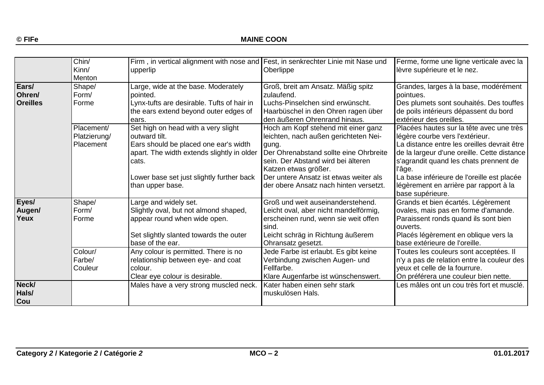|                         | Chin/<br>Kinn/<br>Menton                | Firm, in vertical alignment with nose and Fest, in senkrechter Linie mit Nase und<br>upperlip                                                                                                     | Oberlippe                                                                                                                                                                                                                               | Ferme, forme une ligne verticale avec la<br>lèvre supérieure et le nez.                                                                                                                                                                                                     |
|-------------------------|-----------------------------------------|---------------------------------------------------------------------------------------------------------------------------------------------------------------------------------------------------|-----------------------------------------------------------------------------------------------------------------------------------------------------------------------------------------------------------------------------------------|-----------------------------------------------------------------------------------------------------------------------------------------------------------------------------------------------------------------------------------------------------------------------------|
| Ears/<br>Ohren/         | Shape/<br>Form/                         | Large, wide at the base. Moderately<br>pointed.                                                                                                                                                   | Groß, breit am Ansatz. Mäßig spitz<br>zulaufend.                                                                                                                                                                                        | Grandes, larges à la base, modérément<br>pointues.                                                                                                                                                                                                                          |
| <b>Oreilles</b>         | Forme                                   | Lynx-tufts are desirable. Tufts of hair in<br>the ears extend beyond outer edges of<br>ears.                                                                                                      | Luchs-Pinselchen sind erwünscht.<br>Haarbüschel in den Ohren ragen über<br>den äußeren Ohrenrand hinaus.                                                                                                                                | Des plumets sont souhaités. Des touffes<br>de poils intérieurs dépassent du bord<br>extérieur des oreilles.                                                                                                                                                                 |
|                         | Placement/<br>Platzierung/<br>Placement | Set high on head with a very slight<br>outward tilt.<br>Ears should be placed one ear's width<br>apart. The width extends slightly in older<br>cats.<br>Lower base set just slightly further back | Hoch am Kopf stehend mit einer ganz<br>leichten, nach außen gerichteten Nei-<br>gung.<br>Der Ohrenabstand sollte eine Ohrbreite<br>sein. Der Abstand wird bei älteren<br>Katzen etwas größer.<br>Der untere Ansatz ist etwas weiter als | Placées hautes sur la tête avec une très<br>légère courbe vers l'extérieur.<br>La distance entre les oreilles devrait être<br>de la largeur d'une oreille. Cette distance<br>s'agrandit quand les chats prennent de<br>l'âge.<br>La base inférieure de l'oreille est placée |
|                         |                                         | than upper base.                                                                                                                                                                                  | der obere Ansatz nach hinten versetzt.                                                                                                                                                                                                  | légèrement en arrière par rapport à la<br>base supérieure.                                                                                                                                                                                                                  |
| Eyes/<br>Augen/<br>Yeux | Shape/<br>Form/<br>Forme                | Large and widely set.<br>Slightly oval, but not almond shaped,<br>appear round when wide open.<br>Set slightly slanted towards the outer<br>base of the ear.                                      | Groß und weit auseinanderstehend.<br>Leicht oval, aber nicht mandelförmig,<br>erscheinen rund, wenn sie weit offen<br>sind.<br>Leicht schräg in Richtung äußerem<br>Ohransatz gesetzt.                                                  | Grands et bien écartés. Légèrement<br>ovales, mais pas en forme d'amande.<br>Paraissent ronds quand ils sont bien<br>ouverts.<br>Placés légèrement en oblique vers la<br>base extérieure de l'oreille.                                                                      |
|                         | Colour/<br>Farbe/<br>Couleur            | Any colour is permitted. There is no<br>relationship between eye- and coat<br>colour.<br>Clear eye colour is desirable.                                                                           | Jede Farbe ist erlaubt. Es gibt keine<br>Verbindung zwischen Augen- und<br>Fellfarbe.<br>Klare Augenfarbe ist wünschenswert.                                                                                                            | Toutes les couleurs sont acceptées. Il<br>n'y a pas de relation entre la couleur des<br>yeux et celle de la fourrure.<br>On préférera une couleur bien nette.                                                                                                               |
| Neck/<br>Hals/<br>Cou   |                                         | Males have a very strong muscled neck.                                                                                                                                                            | Kater haben einen sehr stark<br>muskulösen Hals.                                                                                                                                                                                        | Les mâles ont un cou très fort et musclé.                                                                                                                                                                                                                                   |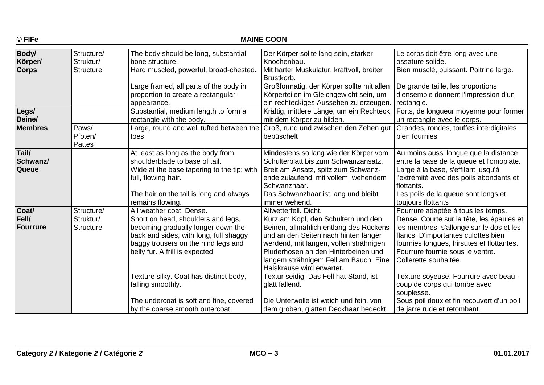| © FIFe                                  | <b>MAINE COON</b>                           |                                                                                                                                                                                     |                                                                                                                                                                                                                                       |                                                                                                                                                                                                                          |  |  |
|-----------------------------------------|---------------------------------------------|-------------------------------------------------------------------------------------------------------------------------------------------------------------------------------------|---------------------------------------------------------------------------------------------------------------------------------------------------------------------------------------------------------------------------------------|--------------------------------------------------------------------------------------------------------------------------------------------------------------------------------------------------------------------------|--|--|
| <b>Body/</b><br>Körper/<br><b>Corps</b> | Structure/<br>Struktur/<br><b>Structure</b> | The body should be long, substantial<br>bone structure.<br>Hard muscled, powerful, broad-chested.                                                                                   | Der Körper sollte lang sein, starker<br>Knochenbau.<br>Mit harter Muskulatur, kraftvoll, breiter<br>Brustkorb.                                                                                                                        | Le corps doit être long avec une<br>ossature solide.<br>Bien musclé, puissant. Poitrine large.                                                                                                                           |  |  |
|                                         |                                             | Large framed, all parts of the body in<br>proportion to create a rectangular<br>appearance.                                                                                         | Großformatig, der Körper sollte mit allen<br>Körperteilen im Gleichgewicht sein, um<br>ein rechteckiges Aussehen zu erzeugen.                                                                                                         | De grande taille, les proportions<br>d'ensemble donnent l'impression d'un<br>rectangle.                                                                                                                                  |  |  |
| Legs/<br>Beine/                         |                                             | Substantial, medium length to form a<br>rectangle with the body.                                                                                                                    | Kräftig, mittlere Länge, um ein Rechteck<br>mit dem Körper zu bilden.                                                                                                                                                                 | Forts, de longueur moyenne pour former<br>un rectangle avec le corps.                                                                                                                                                    |  |  |
| <b>Membres</b>                          | Paws/<br>Pfoten/<br><b>Pattes</b>           | Large, round and well tufted between the<br>toes                                                                                                                                    | Groß, rund und zwischen den Zehen gut<br>bebüschelt                                                                                                                                                                                   | Grandes, rondes, touffes interdigitales<br>bien fournies                                                                                                                                                                 |  |  |
| Tail/<br>Schwanz/<br><b>Queue</b>       |                                             | At least as long as the body from<br>shoulderblade to base of tail.<br>Wide at the base tapering to the tip; with<br>full, flowing hair.<br>The hair on the tail is long and always | Mindestens so lang wie der Körper vom<br>Schulterblatt bis zum Schwanzansatz.<br>Breit am Ansatz, spitz zum Schwanz-<br>ende zulaufend; mit vollem, wehendem<br>Schwanzhaar.<br>Das Schwanzhaar ist lang und bleibt                   | Au moins aussi longue que la distance<br>entre la base de la queue et l'omoplate.<br>Large à la base, s'effilant jusqu'à<br>l'extrémité avec des poils abondants et<br>flottants.<br>Les poils de la queue sont longs et |  |  |
|                                         |                                             | remains flowing.                                                                                                                                                                    | immer wehend.                                                                                                                                                                                                                         | toujours flottants                                                                                                                                                                                                       |  |  |
| Coat/<br>Fell/                          | Structure/<br>Struktur/                     | All weather coat. Dense.<br>Short on head, shoulders and legs,                                                                                                                      | Allwetterfell, Dicht.<br>Kurz am Kopf, den Schultern und den                                                                                                                                                                          | Fourrure adaptée à tous les temps.<br>Dense. Courte sur la tête, les épaules et                                                                                                                                          |  |  |
| Fourrure                                | <b>Structure</b>                            | becoming gradually longer down the<br>back and sides, with long, full shaggy<br>baggy trousers on the hind legs and<br>belly fur. A frill is expected.                              | Beinen, allmählich entlang des Rückens<br>und an den Seiten nach hinten länger<br>werdend, mit langen, vollen strähnigen<br>Pluderhosen an den Hinterbeinen und<br>langem strähnigem Fell am Bauch. Eine<br>Halskrause wird erwartet. | les membres, s'allonge sur le dos et les<br>flancs. D'importantes culottes bien<br>fournies longues, hirsutes et flottantes.<br>Fourrure fournie sous le ventre.<br>Collerette souhaitée.                                |  |  |
|                                         |                                             | Texture silky. Coat has distinct body,<br>falling smoothly.                                                                                                                         | Textur seidig. Das Fell hat Stand, ist<br>glatt fallend.                                                                                                                                                                              | Texture soyeuse. Fourrure avec beau-<br>coup de corps qui tombe avec<br>souplesse.                                                                                                                                       |  |  |
|                                         |                                             | The undercoat is soft and fine, covered<br>by the coarse smooth outercoat.                                                                                                          | Die Unterwolle ist weich und fein, von<br>dem groben, glatten Deckhaar bedeckt.                                                                                                                                                       | Sous poil doux et fin recouvert d'un poil<br>de jarre rude et retombant.                                                                                                                                                 |  |  |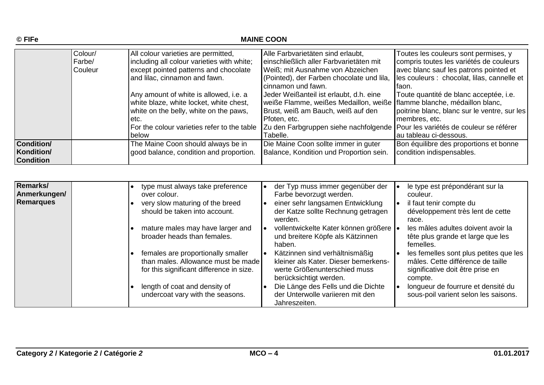|                   | Colour/        | All colour varieties are permitted,         | Alle Farbvarietäten sind erlaubt,                                             | Toutes les couleurs sont permises, y         |
|-------------------|----------------|---------------------------------------------|-------------------------------------------------------------------------------|----------------------------------------------|
|                   | Farbe/         | including all colour varieties with white;  | einschließlich aller Farbvarietäten mit                                       | compris toutes les variétés de couleurs      |
|                   | <b>Couleur</b> | except pointed patterns and chocolate       | Weiß; mit Ausnahme von Abzeichen                                              | avec blanc sauf les patrons pointed et       |
|                   |                | and lilac, cinnamon and fawn.               | (Pointed), der Farben chocolate und lila,                                     | les couleurs : chocolat, lilas, cannelle et  |
|                   |                |                                             | cinnamon und fawn.                                                            | lfaon.                                       |
|                   |                | Any amount of white is allowed, i.e. a      | Jeder Weißanteil ist erlaubt, d.h. eine                                       | Toute quantité de blanc acceptée, i.e.       |
|                   |                | white blaze, white locket, white chest,     | weiße Flamme, weißes Medaillon, weiße flamme blanche, médaillon blanc,        |                                              |
|                   |                | white on the belly, white on the paws,      | Brust, weiß am Bauch, weiß auf den                                            | poitrine blanc, blanc sur le ventre, sur les |
|                   |                | etc.                                        | Pfoten, etc.                                                                  | membres, etc.                                |
|                   |                | For the colour varieties refer to the table | Zu den Farbgruppen siehe nachfolgende Pour les variétés de couleur se référer |                                              |
|                   |                | below                                       | Tabelle.                                                                      | au tableau ci-dessous.                       |
| <b>Condition/</b> |                | The Maine Coon should always be in          | Die Maine Coon sollte immer in guter                                          | Bon équilibre des proportions et bonne       |
| Kondition/        |                | good balance, condition and proportion.     | Balance, Kondition und Proportion sein.                                       | condition indispensables.                    |
| <b>Condition</b>  |                |                                             |                                                                               |                                              |

| Remarks/<br>Anmerkungen/<br>Remarques | over colour. | type must always take preference<br>very slow maturing of the breed<br>$\bullet$<br>should be taken into account.<br>mature males may have larger and | der Typ muss immer gegenüber der<br>Farbe bevorzugt werden.<br>einer sehr langsamen Entwicklung<br>der Katze sollte Rechnung getragen<br>werden.<br>vollentwickelte Kater können größere  • | le type est prépondérant sur la<br>couleur.<br>il faut tenir compte du<br>développement très lent de cette<br>race.<br>les mâles adultes doivent avoir la |
|---------------------------------------|--------------|-------------------------------------------------------------------------------------------------------------------------------------------------------|---------------------------------------------------------------------------------------------------------------------------------------------------------------------------------------------|-----------------------------------------------------------------------------------------------------------------------------------------------------------|
|                                       |              | broader heads than females.                                                                                                                           | und breitere Köpfe als Kätzinnen<br>haben.                                                                                                                                                  | tête plus grande et large que les<br>femelles.                                                                                                            |
|                                       |              | females are proportionally smaller<br>than males. Allowance must be made<br>for this significant difference in size.                                  | Kätzinnen sind verhältnismäßig<br>kleiner als Kater. Dieser bemerkens-<br>werte Größenunterschied muss<br>berücksichtigt werden.                                                            | les femelles sont plus petites que les<br>mâles. Cette différence de taille<br>significative doit être prise en<br>compte.                                |
|                                       |              | length of coat and density of<br>undercoat vary with the seasons.                                                                                     | Die Länge des Fells und die Dichte<br>der Unterwolle variieren mit den<br>Jahreszeiten.                                                                                                     | longueur de fourrure et densité du<br>sous-poil varient selon les saisons.                                                                                |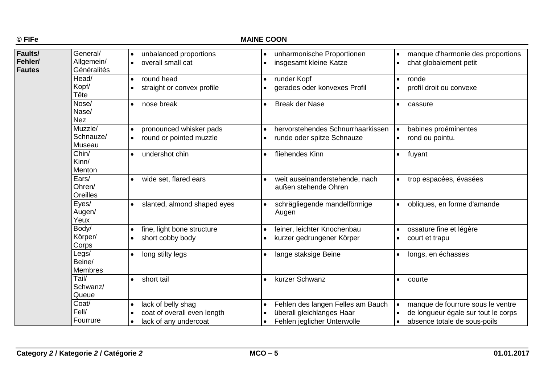### **MAINE COON**

| Faults/<br>Fehler/<br><b>Fautes</b> | General/<br>Allgemein/<br>Généralités<br>Head/<br>Kopf/<br>Tête | unbalanced proportions<br>$\bullet$<br>overall small cat<br>$\bullet$<br>round head<br>$\bullet$<br>straight or convex profile | unharmonische Proportionen<br>$\bullet$<br>insgesamt kleine Katze<br>$\bullet$<br>runder Kopf<br>$\bullet$<br>gerades oder konvexes Profil<br>$\bullet$ | manque d'harmonie des proportions<br>chat globalement petit<br>ronde<br>profil droit ou convexe          |
|-------------------------------------|-----------------------------------------------------------------|--------------------------------------------------------------------------------------------------------------------------------|---------------------------------------------------------------------------------------------------------------------------------------------------------|----------------------------------------------------------------------------------------------------------|
|                                     | Nose/<br>Nase/<br><b>Nez</b>                                    | nose break<br>$\bullet$                                                                                                        | <b>Break der Nase</b><br>$\bullet$                                                                                                                      | cassure                                                                                                  |
|                                     | Muzzle/<br>Schnauze/<br>Museau                                  | pronounced whisker pads<br>round or pointed muzzle<br>$\bullet$                                                                | hervorstehendes Schnurrhaarkissen<br>$\bullet$<br>runde oder spitze Schnauze<br>$\bullet$                                                               | babines proéminentes<br>rond ou pointu.                                                                  |
|                                     | Chin/<br>Kinn/<br>Menton                                        | undershot chin<br>$\bullet$                                                                                                    | fliehendes Kinn<br>$\bullet$                                                                                                                            | fuyant                                                                                                   |
|                                     | Ears/<br>Ohren/<br>Oreilles                                     | wide set, flared ears                                                                                                          | weit auseinanderstehende, nach<br>außen stehende Ohren                                                                                                  | trop espacées, évasées                                                                                   |
|                                     | Eyes/<br>Augen/<br>Yeux                                         | slanted, almond shaped eyes                                                                                                    | schrägliegende mandelförmige<br>$\bullet$<br>Augen                                                                                                      | obliques, en forme d'amande                                                                              |
|                                     | Body/<br>Körper/<br>Corps                                       | fine, light bone structure<br>$\bullet$<br>short cobby body                                                                    | feiner, leichter Knochenbau<br>$\bullet$<br>kurzer gedrungener Körper<br>$\bullet$                                                                      | ossature fine et légère<br>court et trapu                                                                |
|                                     | Legs/<br>Beine/<br><b>Membres</b>                               | long stilty legs                                                                                                               | lange staksige Beine<br>$\bullet$                                                                                                                       | longs, en échasses                                                                                       |
|                                     | Tail/<br>Schwanz/<br>Queue                                      | short tail                                                                                                                     | kurzer Schwanz                                                                                                                                          | courte                                                                                                   |
|                                     | Coat/<br>Fell/<br>Fourrure                                      | lack of belly shag<br>$\bullet$<br>coat of overall even length<br>lack of any undercoat<br>$\bullet$                           | Fehlen des langen Felles am Bauch<br>$\bullet$<br>überall gleichlanges Haar<br>$\bullet$<br>Fehlen jeglicher Unterwolle<br>$\bullet$                    | manque de fourrure sous le ventre<br>de longueur égale sur tout le corps<br>absence totale de sous-poils |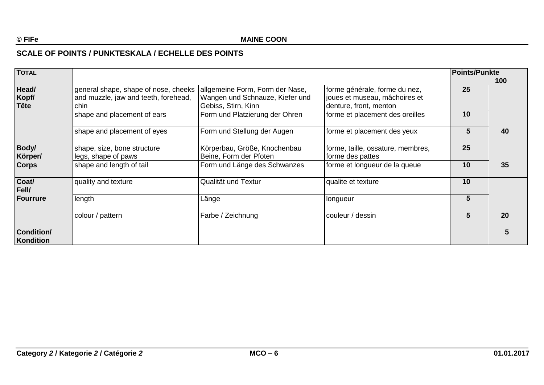## **SCALE OF POINTS / PUNKTESKALA / ECHELLE DES POINTS**

| <b>TOTAL</b>                   |                                                                                      |                                                                                           |                                                                                          | <b>Points/Punkte</b> | 100 |
|--------------------------------|--------------------------------------------------------------------------------------|-------------------------------------------------------------------------------------------|------------------------------------------------------------------------------------------|----------------------|-----|
| Head/<br>Kopf/<br><b>Tête</b>  | general shape, shape of nose, cheeks<br>and muzzle, jaw and teeth, forehead,<br>chin | allgemeine Form, Form der Nase,<br>Wangen und Schnauze, Kiefer und<br>Gebiss, Stirn, Kinn | forme générale, forme du nez,<br>joues et museau, mâchoires et<br>denture, front, menton | 25                   |     |
|                                | shape and placement of ears                                                          | Form und Platzierung der Ohren                                                            | forme et placement des oreilles                                                          | 10                   |     |
|                                | shape and placement of eyes                                                          | Form und Stellung der Augen                                                               | forme et placement des yeux                                                              | 5                    | 40  |
| Body/<br>Körper/               | shape, size, bone structure<br>legs, shape of paws                                   | Körperbau, Größe, Knochenbau<br>Beine, Form der Pfoten                                    | forme, taille, ossature, membres,<br>forme des pattes                                    | 25                   |     |
| <b>Corps</b>                   | shape and length of tail                                                             | Form und Länge des Schwanzes                                                              | forme et longueur de la queue                                                            | 10                   | 35  |
| Coat/<br>Fell/                 | quality and texture                                                                  | Qualität und Textur                                                                       | qualite et texture                                                                       | 10                   |     |
| Fourrure                       | length                                                                               | Länge                                                                                     | longueur                                                                                 | 5                    |     |
|                                | colour / pattern                                                                     | Farbe / Zeichnung                                                                         | couleur / dessin                                                                         | 5.                   | 20  |
| <b>Condition/</b><br>Kondition |                                                                                      |                                                                                           |                                                                                          |                      | 5   |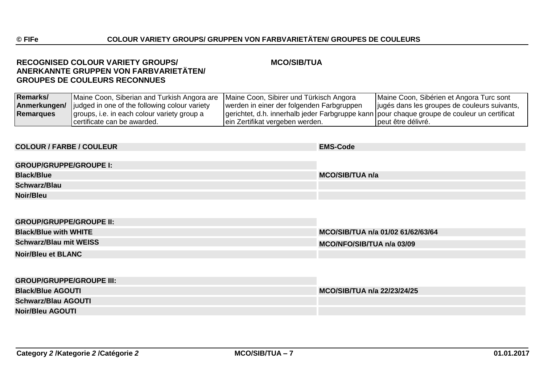### **RECOGNISED COLOUR VARIETY GROUPS/ MCO/SIB/TUA ANERKANNTE GRUPPEN VON FARBVARIETÄTEN/ GROUPES DE COULEURS RECONNUES**

| <b>Remarks/</b> | Maine Coon, Siberian and Turkish Angora are Maine Coon, Sibirer und Türkisch Angora |                                                                                               | Maine Coon, Sibérien et Angora Turc sont     |
|-----------------|-------------------------------------------------------------------------------------|-----------------------------------------------------------------------------------------------|----------------------------------------------|
| Anmerkungen/    | judged in one of the following colour variety                                       | werden in einer der folgenden Farbgruppen                                                     | jugés dans les groupes de couleurs suivants, |
| Remarques       | groups, i.e. in each colour variety group a                                         | gerichtet, d.h. innerhalb jeder Farbgruppe kann   pour chaque groupe de couleur un certificat |                                              |
|                 | certificate can be awarded.                                                         | ein Zertifikat vergeben werden.                                                               | peut être délivré.                           |

# **COLOUR / FARBE / COULEUR EMS-Code GROUP/GRUPPE/GROUPE I: Black/Blue MCO/SIB/TUA n/a Schwarz/Blau Noir/Bleu**

| <b>GROUP/GRUPPE/GROUPE II:</b> |                                   |
|--------------------------------|-----------------------------------|
| <b>Black/Blue with WHITE</b>   | MCO/SIB/TUA n/a 01/02 61/62/63/64 |
| <b>Schwarz/Blau mit WEISS</b>  | MCO/NFO/SIB/TUA n/a 03/09         |
| <b>Noir/Bleu et BLANC</b>      |                                   |

| <b>GROUP/GRUPPE/GROUPE III:</b> |                             |
|---------------------------------|-----------------------------|
| <b>Black/Blue AGOUTI</b>        | MCO/SIB/TUA n/a 22/23/24/25 |
| <b>Schwarz/Blau AGOUTI</b>      |                             |
| <b>Noir/Bleu AGOUTI</b>         |                             |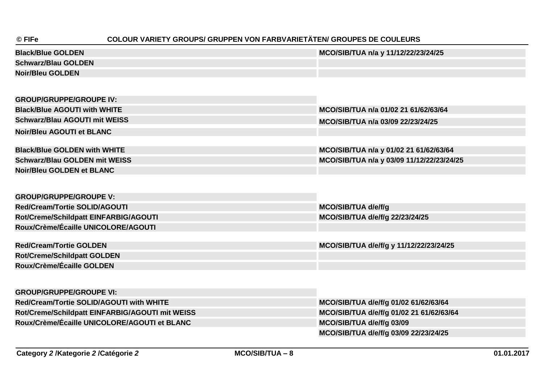# **© FIFe COLOUR VARIETY GROUPS/ GRUPPEN VON FARBVARIETÄTEN/ GROUPES DE COULEURS**

| <b>Black/Blue GOLDEN</b>   | MCO/SIB/TUA n/a y 11/12/22/23/24/25 |
|----------------------------|-------------------------------------|
| <b>Schwarz/Blau GOLDEN</b> |                                     |
| <b>Noir/Bleu GOLDEN</b>    |                                     |

| <b>GROUP/GRUPPE/GROUPE IV:</b>           |                                           |
|------------------------------------------|-------------------------------------------|
| <b>Black/Blue AGOUTI with WHITE</b>      | MCO/SIB/TUA n/a 01/02 21 61/62/63/64      |
| <b>Schwarz/Blau AGOUTI mit WEISS</b>     | MCO/SIB/TUA n/a 03/09 22/23/24/25         |
| <b>Noir/Bleu AGOUTI et BLANC</b>         |                                           |
|                                          |                                           |
| <b>Black/Blue GOLDEN with WHITE</b>      | MCO/SIB/TUA n/a y 01/02 21 61/62/63/64    |
| <b>Schwarz/Blau GOLDEN mit WEISS</b>     | MCO/SIB/TUA n/a y 03/09 11/12/22/23/24/25 |
| <b>Noir/Bleu GOLDEN et BLANC</b>         |                                           |
|                                          |                                           |
|                                          |                                           |
| <b>GROUP/GRUPPE/GROUPE V:</b>            |                                           |
| <b>Red/Cream/Tortie SOLID/AGOUTI</b>     | MCO/SIB/TUA d/e/f/g                       |
| Rot/Creme/Schildpatt EINFARBIG/AGOUTI    | MCO/SIB/TUA d/e/f/g 22/23/24/25           |
| Roux/Crème/Écaille UNICOLORE/AGOUTI      |                                           |
|                                          |                                           |
| <b>Red/Cream/Tortie GOLDEN</b>           | MCO/SIB/TUA d/e/f/g y 11/12/22/23/24/25   |
| <b>Rot/Creme/Schildpatt GOLDEN</b>       |                                           |
| Roux/Crème/Écaille GOLDEN                |                                           |
|                                          |                                           |
|                                          |                                           |
| <b>GROUP/GRUPPE/GROUPE VI:</b>           |                                           |
| Red/Cream/Tortie SOLID/AGOUTI with WHITE | MCO/SIB/TUA d/e/f/g 01/02 61/62/63/64     |

| $R$ is the call of the contract of $R$ in with $R$ in $R$ |
|-----------------------------------------------------------|
| Rot/Creme/Schildpatt EINFARBIG/AGOUTI mit WEISS           |
| Roux/Crème/Écaille UNICOLORE/AGOUTI et BLANC              |
|                                                           |

**Rot/Creme/Schildpatt EINFARBIG/AGOUTI mit WEISS MCO/SIB/TUA d/e/f/g 01/02 21 61/62/63/64 MCO/SIB/TUA d/e/f/g 03/09 MCO/SIB/TUA d/e/f/g 03/09 22/23/24/25**